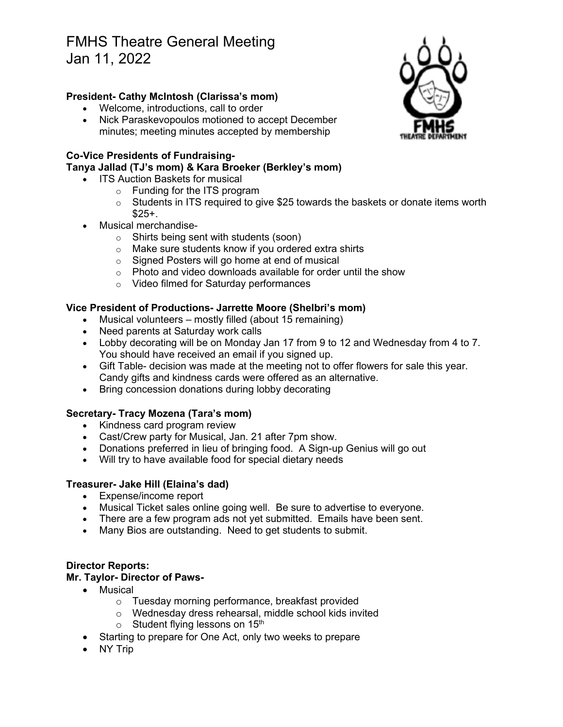# FMHS Theatre General Meeting Jan 11, 2022

## **President- Cathy McIntosh (Clarissa's mom)**

- Welcome, introductions, call to order
- Nick Paraskevopoulos motioned to accept December minutes; meeting minutes accepted by membership

## **Co-Vice Presidents of Fundraising-**

#### **Tanya Jallad (TJ's mom) & Kara Broeker (Berkley's mom)**

- ITS Auction Baskets for musical
	- o Funding for the ITS program
	- $\circ$  Students in ITS required to give \$25 towards the baskets or donate items worth  $$25+$ .
- Musical merchandise
	- o Shirts being sent with students (soon)
	- o Make sure students know if you ordered extra shirts
	- o Signed Posters will go home at end of musical
	- o Photo and video downloads available for order until the show
	- o Video filmed for Saturday performances

## **Vice President of Productions- Jarrette Moore (Shelbri's mom)**

- Musical volunteers mostly filled (about 15 remaining)
- Need parents at Saturday work calls
- Lobby decorating will be on Monday Jan 17 from 9 to 12 and Wednesday from 4 to 7. You should have received an email if you signed up.
- Gift Table- decision was made at the meeting not to offer flowers for sale this year. Candy gifts and kindness cards were offered as an alternative.
- Bring concession donations during lobby decorating

## **Secretary- Tracy Mozena (Tara's mom)**

- Kindness card program review
- Cast/Crew party for Musical, Jan. 21 after 7pm show.
- Donations preferred in lieu of bringing food. A Sign-up Genius will go out
- Will try to have available food for special dietary needs

#### **Treasurer- Jake Hill (Elaina's dad)**

- Expense/income report
- Musical Ticket sales online going well. Be sure to advertise to everyone.
- There are a few program ads not yet submitted. Emails have been sent.
- Many Bios are outstanding. Need to get students to submit.

#### **Director Reports:**

#### **Mr. Taylor- Director of Paws-**

- Musical
	- o Tuesday morning performance, breakfast provided
	- o Wednesday dress rehearsal, middle school kids invited
	- $\circ$  Student flying lessons on 15<sup>th</sup>
- Starting to prepare for One Act, only two weeks to prepare
- NY Trip

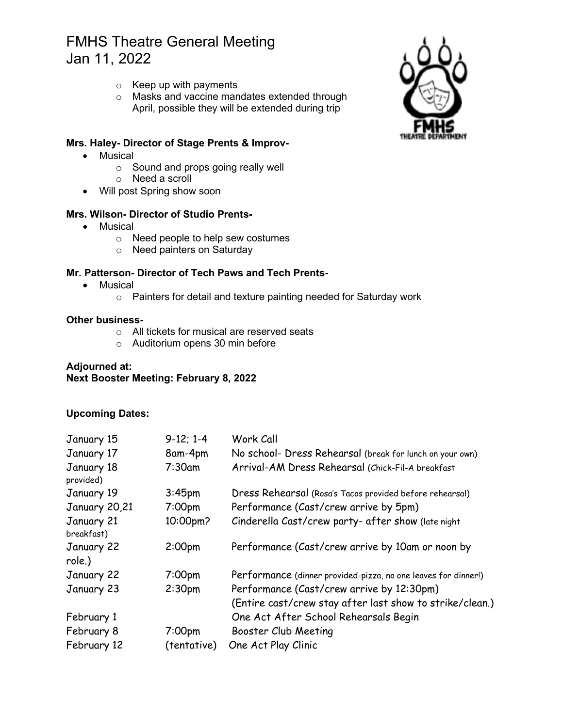## FMHS Theatre General Meeting Jan 11, 2022

- $\circ$  Keep up with payments
- o Masks and vaccine mandates extended through April, possible they will be extended during trip

### **Mrs. Haley- Director of Stage Prents & Improv-**

- Musical
	- o Sound and props going really well
	- o Need a scroll
- Will post Spring show soon

## **Mrs. Wilson- Director of Studio Prents-**

- Musical
	- o Need people to help sew costumes
	- o Need painters on Saturday

#### **Mr. Patterson- Director of Tech Paws and Tech Prents-**

- Musical
	- o Painters for detail and texture painting needed for Saturday work

#### **Other business-**

- o All tickets for musical are reserved seats
- o Auditorium opens 30 min before

## **Adjourned at: Next Booster Meeting: February 8, 2022**

#### **Upcoming Dates:**

| January 15               | $9-12; 1-4$        | Work Call                                                      |
|--------------------------|--------------------|----------------------------------------------------------------|
| January 17               | 8am-4pm            | No school- Dress Rehearsal (break for lunch on your own)       |
| January 18<br>provided)  | $7:30$ am          | Arrival-AM Dress Rehearsal (Chick-Fil-A breakfast              |
| January 19               | 3:45 <sub>pm</sub> | Dress Rehearsal (Rosa's Tacos provided before rehearsal)       |
| January 20,21            | 7:00 <sub>pm</sub> | Performance (Cast/crew arrive by 5pm)                          |
| January 21<br>breakfast) | 10:00pm?           | Cinderella Cast/crew party- after show (late night             |
| January 22<br>role.)     | 2:00 <sub>pm</sub> | Performance (Cast/crew arrive by 10am or noon by               |
| January 22               | 7:00 <sub>pm</sub> | Performance (dinner provided-pizza, no one leaves for dinner!) |
| January 23               | 2:30 <sub>pm</sub> | Performance (Cast/crew arrive by 12:30pm)                      |
|                          |                    | (Entire cast/crew stay after last show to strike/clean.)       |
| February 1               |                    | One Act After School Rehearsals Begin                          |
| February 8               | 7:00 <sub>pm</sub> | Booster Club Meeting                                           |
| February 12              | (tentative)        | One Act Play Clinic                                            |